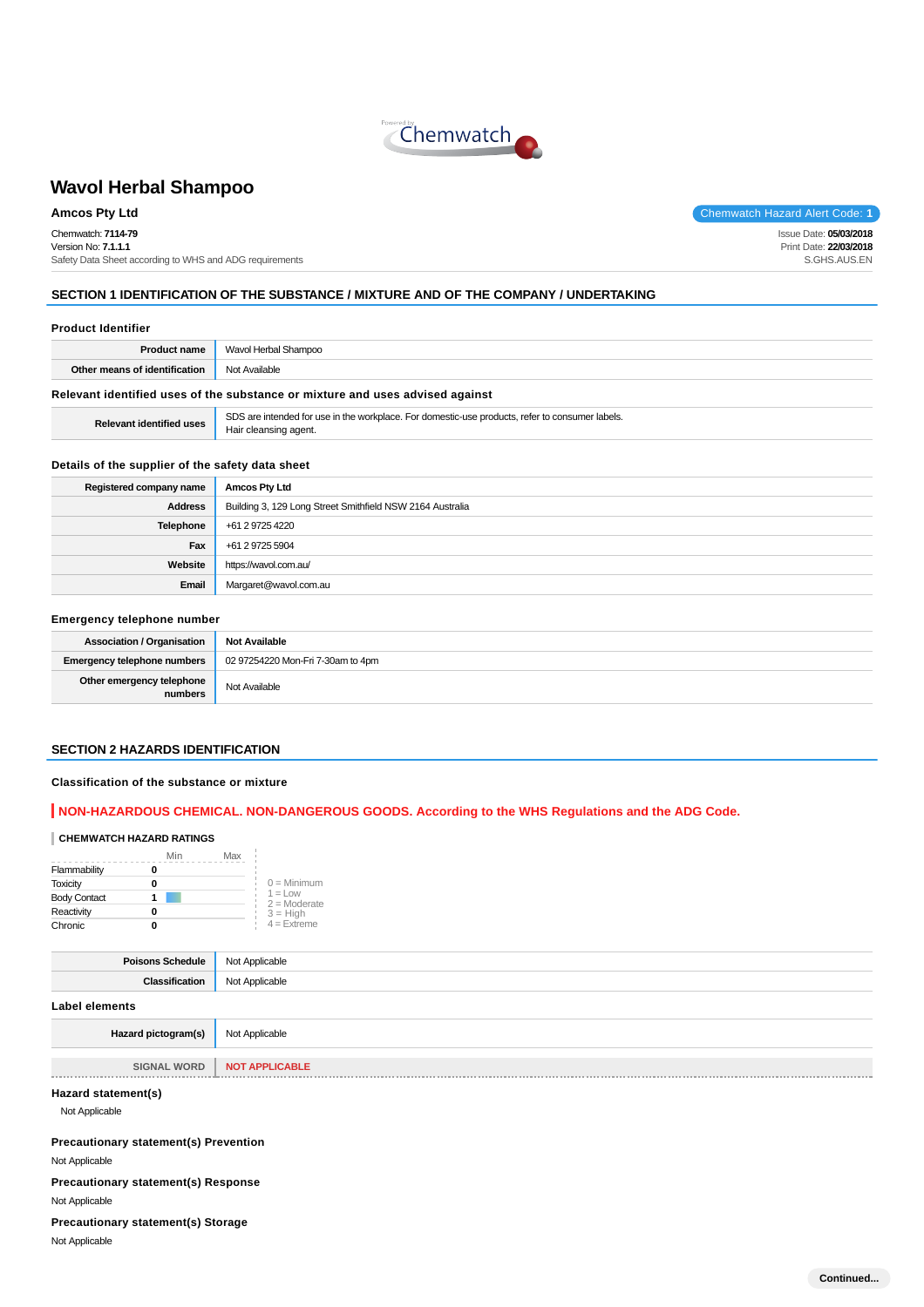

**Amcos Pty Ltd** Chemwatch Hazard Alert Code: **1** Chemwatch: **7114-79** Version No: **7.1.1.1** Safety Data Sheet according to WHS and ADG requirements

Issue Date: **05/03/2018** Print Date: **22/03/2018** S.GHS.AUS.EN

# **SECTION 1 IDENTIFICATION OF THE SUBSTANCE / MIXTURE AND OF THE COMPANY / UNDERTAKING**

| <b>Product Identifier</b> |
|---------------------------|
|                           |

|                                                                               | <b>Product name</b>   Wavol Herbal Shampoo |
|-------------------------------------------------------------------------------|--------------------------------------------|
| Other means of identification                                                 | Not Available                              |
| Relevant identified uses of the substance or mixture and uses advised against |                                            |

**Relevant identified uses** SDS are intended for use in the workplace. For domestic-use products, refer to consumer labels. Hair cleansing agent.

#### **Details of the supplier of the safety data sheet**

| Registered company name | <b>Amcos Pty Ltd</b>                                      |
|-------------------------|-----------------------------------------------------------|
| <b>Address</b>          | Building 3, 129 Long Street Smithfield NSW 2164 Australia |
| Telephone               | +61 2 9725 4220                                           |
| Fax                     | +61 2 9725 5904                                           |
| Website                 | https://wavol.com.au/                                     |
| Email                   | Margaret@wavol.com.au                                     |

#### **Emergency telephone number**

| <b>Association / Organisation</b>    | <b>Not Available</b>              |
|--------------------------------------|-----------------------------------|
| <b>Emergency telephone numbers</b>   | 02 97254220 Mon-Fri 7-30am to 4pm |
| Other emergency telephone<br>numbers | Not Available                     |

#### **SECTION 2 HAZARDS IDENTIFICATION**

#### **Classification of the substance or mixture**

# **NON-HAZARDOUS CHEMICAL. NON-DANGEROUS GOODS. According to the WHS Regulations and the ADG Code.**

# **CHEMWATCH HAZARD RATINGS**

|                     | Min | Max                          |
|---------------------|-----|------------------------------|
| Flammability        |     |                              |
| <b>Toxicity</b>     |     | $0 =$ Minimum                |
| <b>Body Contact</b> |     | $1 = 1$ OW<br>$2 =$ Moderate |
| Reactivity          |     | $3 = High$                   |
| Chronic             |     | $4 =$ Extreme                |

| <b>Poisons Schedule</b> Not Applicable |                |
|----------------------------------------|----------------|
| Classification                         | Not Applicable |
| Label elements                         |                |
| Hazard pictogram(s)                    | Not Applicable |

**SIGNAL WORD** | **NOT APPLICABLE Contract Contract Contract** 

# **Hazard statement(s)**

Not Applicable

**Precautionary statement(s) Prevention**

Not Applicable

**Precautionary statement(s) Response** Not Applicable

#### **Precautionary statement(s) Storage**

Not Applicable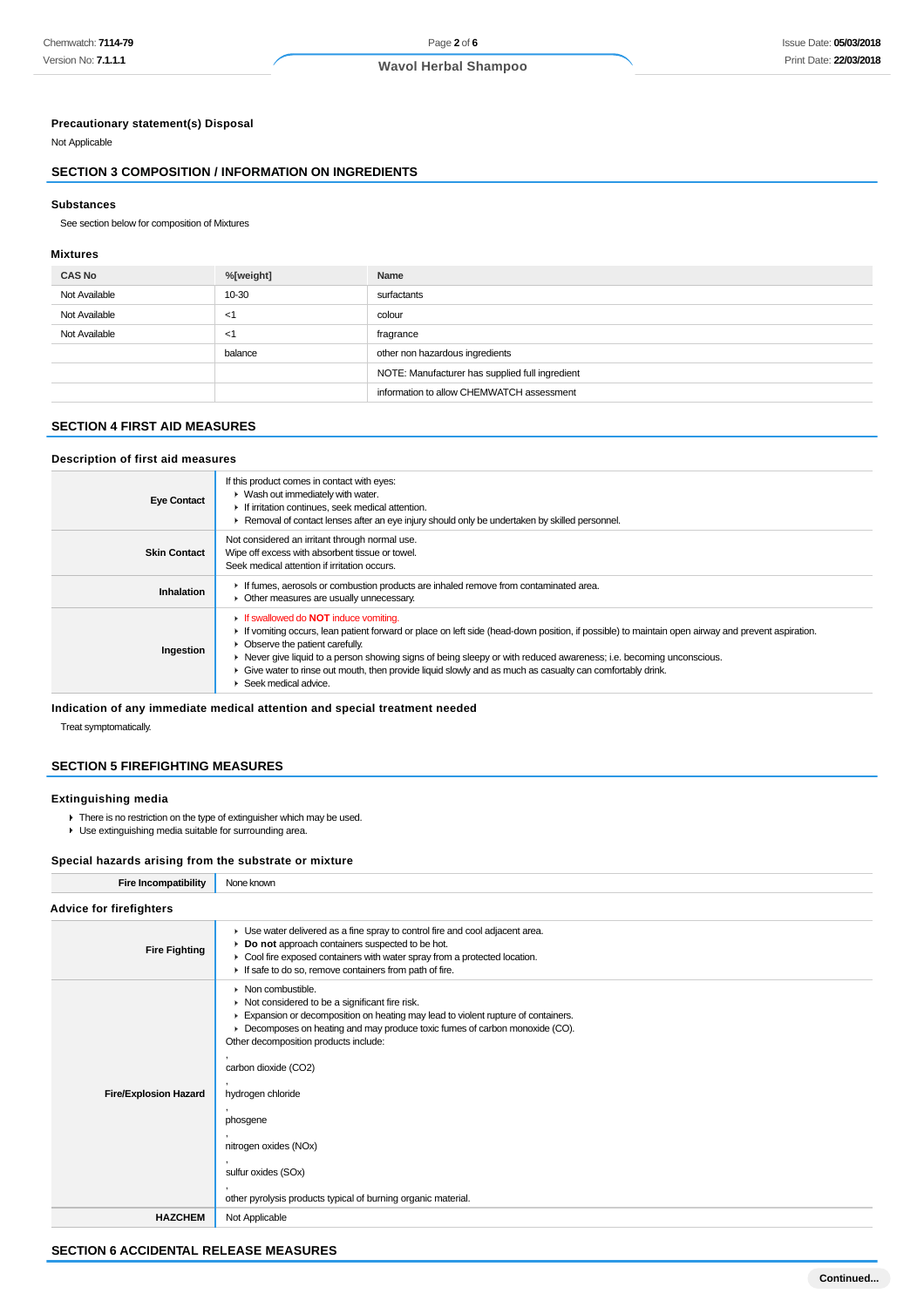# **Precautionary statement(s) Disposal**

Not Applicable

# **SECTION 3 COMPOSITION / INFORMATION ON INGREDIENTS**

#### **Substances**

See section below for composition of Mixtures

#### **Mixtures**

| <b>CAS No</b> | %[weight] | Name                                            |
|---------------|-----------|-------------------------------------------------|
| Not Available | 10-30     | surfactants                                     |
| Not Available | $<$ 1     | colour                                          |
| Not Available | $<$ 1     | fragrance                                       |
|               | balance   | other non hazardous ingredients                 |
|               |           | NOTE: Manufacturer has supplied full ingredient |
|               |           | information to allow CHEMWATCH assessment       |

## **SECTION 4 FIRST AID MEASURES**

#### **Description of first aid measures**

| <b>Eye Contact</b>  | If this product comes in contact with eyes:<br>▶ Wash out immediately with water.<br>If irritation continues, seek medical attention.<br>► Removal of contact lenses after an eye injury should only be undertaken by skilled personnel.                                                                                                                                                                                                                                                         |
|---------------------|--------------------------------------------------------------------------------------------------------------------------------------------------------------------------------------------------------------------------------------------------------------------------------------------------------------------------------------------------------------------------------------------------------------------------------------------------------------------------------------------------|
| <b>Skin Contact</b> | Not considered an irritant through normal use.<br>Wipe off excess with absorbent tissue or towel.<br>Seek medical attention if irritation occurs.                                                                                                                                                                                                                                                                                                                                                |
| Inhalation          | If fumes, aerosols or combustion products are inhaled remove from contaminated area.<br>• Other measures are usually unnecessary.                                                                                                                                                                                                                                                                                                                                                                |
| Ingestion           | If swallowed do <b>NOT</b> induce vomiting.<br>If vomiting occurs, lean patient forward or place on left side (head-down position, if possible) to maintain open airway and prevent aspiration.<br>• Observe the patient carefully.<br>► Never give liquid to a person showing signs of being sleepy or with reduced awareness; i.e. becoming unconscious.<br>• Give water to rinse out mouth, then provide liquid slowly and as much as casualty can comfortably drink.<br>Seek medical advice. |

# **Indication of any immediate medical attention and special treatment needed**

Treat symptomatically.

#### **SECTION 5 FIREFIGHTING MEASURES**

#### **Extinguishing media**

- **There is no restriction on the type of extinguisher which may be used.**
- Use extinguishing media suitable for surrounding area.

# **Special hazards arising from the substrate or mixture**

| <b>Fire Incompatibility</b>    | None known                                                                                                                                                                                                                                                                                                                                                                                                                                                                                 |  |
|--------------------------------|--------------------------------------------------------------------------------------------------------------------------------------------------------------------------------------------------------------------------------------------------------------------------------------------------------------------------------------------------------------------------------------------------------------------------------------------------------------------------------------------|--|
| <b>Advice for firefighters</b> |                                                                                                                                                                                                                                                                                                                                                                                                                                                                                            |  |
| <b>Fire Fighting</b>           | • Use water delivered as a fine spray to control fire and cool adjacent area.<br>Do not approach containers suspected to be hot.<br>Cool fire exposed containers with water spray from a protected location.<br>If safe to do so, remove containers from path of fire.                                                                                                                                                                                                                     |  |
| <b>Fire/Explosion Hazard</b>   | $\triangleright$ Non combustible.<br>$\triangleright$ Not considered to be a significant fire risk.<br>Expansion or decomposition on heating may lead to violent rupture of containers.<br>▶ Decomposes on heating and may produce toxic fumes of carbon monoxide (CO).<br>Other decomposition products include:<br>carbon dioxide (CO2)<br>hydrogen chloride<br>phosgene<br>nitrogen oxides (NOx)<br>sulfur oxides (SOx)<br>other pyrolysis products typical of burning organic material. |  |
| <b>HAZCHEM</b>                 | Not Applicable                                                                                                                                                                                                                                                                                                                                                                                                                                                                             |  |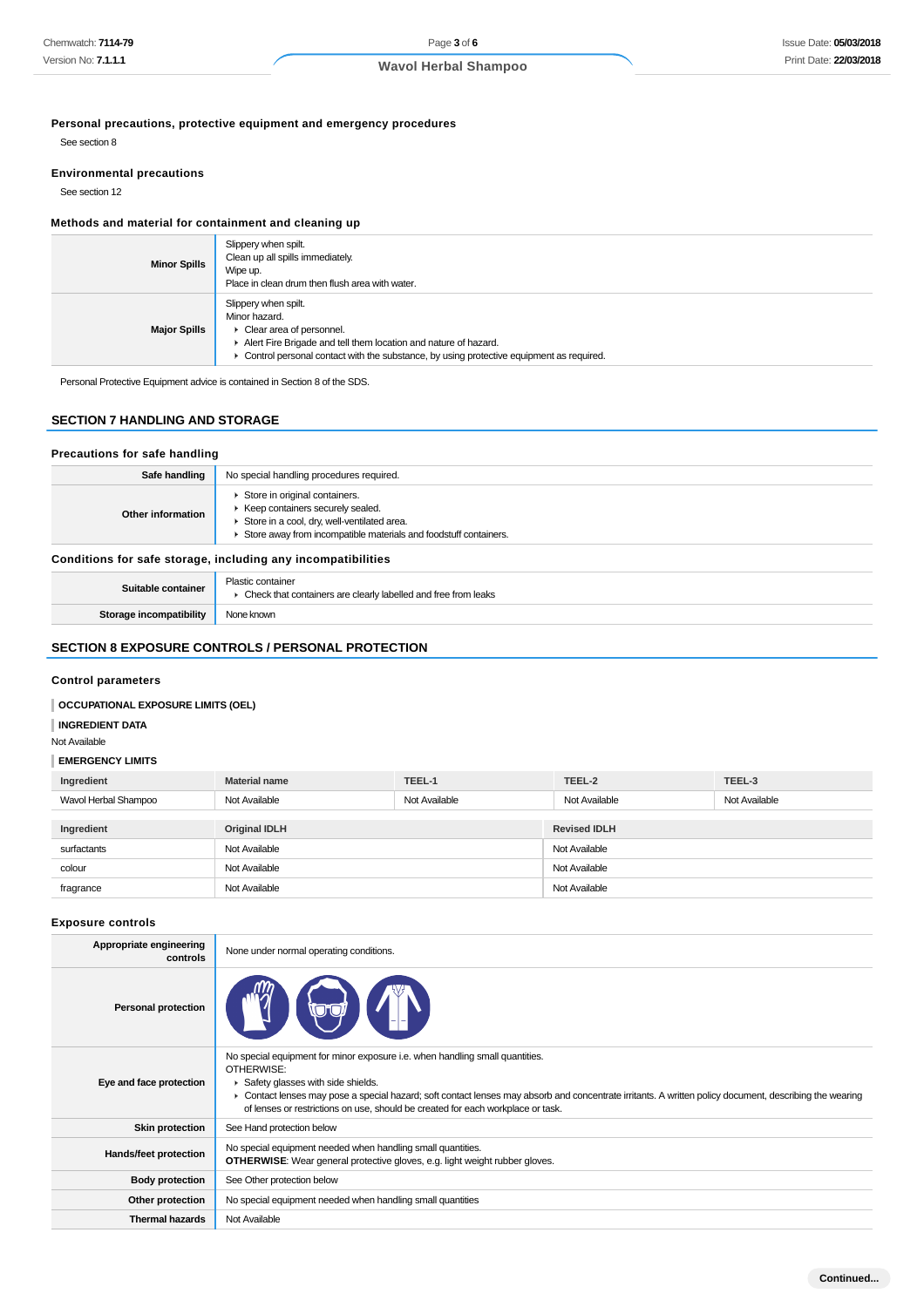**Personal precautions, protective equipment and emergency procedures**

See section 8

#### **Environmental precautions**

See section 12

# **Methods and material for containment and cleaning up**

| <b>Minor Spills</b> | Slippery when spilt.<br>Clean up all spills immediately.<br>Wipe up.<br>Place in clean drum then flush area with water.                                                                                                                            |
|---------------------|----------------------------------------------------------------------------------------------------------------------------------------------------------------------------------------------------------------------------------------------------|
| <b>Major Spills</b> | Slippery when spilt.<br>Minor hazard.<br>$\triangleright$ Clear area of personnel.<br>Alert Fire Brigade and tell them location and nature of hazard.<br>• Control personal contact with the substance, by using protective equipment as required. |

Personal Protective Equipment advice is contained in Section 8 of the SDS.

# **SECTION 7 HANDLING AND STORAGE**

#### **Precautions for safe handling**

| Safe handling                                                | No special handling procedures required.                                                                                                                                               |
|--------------------------------------------------------------|----------------------------------------------------------------------------------------------------------------------------------------------------------------------------------------|
| Other information                                            | Store in original containers.<br>▶ Keep containers securely sealed.<br>Store in a cool, dry, well-ventilated area.<br>Store away from incompatible materials and foodstuff containers. |
| Conditions for safe storage, including any incompatibilities |                                                                                                                                                                                        |

| Suitable container      | Plastic container<br>• Check that containers are clearly labelled and free from leaks |
|-------------------------|---------------------------------------------------------------------------------------|
| Storage incompatibility | None known                                                                            |

# **SECTION 8 EXPOSURE CONTROLS / PERSONAL PROTECTION**

#### **Control parameters**

# **OCCUPATIONAL EXPOSURE LIMITS (OEL)**

#### **INGREDIENT DATA**

# Not Available

#### **EMERGENCY LIMITS**

| Ingredient           | <b>Material name</b> | TEEL-1        | TEEL-2              | TEEL-3        |
|----------------------|----------------------|---------------|---------------------|---------------|
| Wavol Herbal Shampoo | Not Available        | Not Available | Not Available       | Not Available |
|                      |                      |               |                     |               |
| Ingredient           | <b>Original IDLH</b> |               | <b>Revised IDLH</b> |               |
| surfactants          | Not Available        |               | Not Available       |               |
| colour               | Not Available        |               | Not Available       |               |
| fragrance            | Not Available        |               | Not Available       |               |

#### **Exposure controls**

| Appropriate engineering<br>controls | None under normal operating conditions.                                                                                                                                                                                                                                                                                                                                       |
|-------------------------------------|-------------------------------------------------------------------------------------------------------------------------------------------------------------------------------------------------------------------------------------------------------------------------------------------------------------------------------------------------------------------------------|
| <b>Personal protection</b>          |                                                                                                                                                                                                                                                                                                                                                                               |
| Eye and face protection             | No special equipment for minor exposure i.e. when handling small quantities.<br>OTHERWISE:<br>Safety glasses with side shields.<br>• Contact lenses may pose a special hazard; soft contact lenses may absorb and concentrate irritants. A written policy document, describing the wearing<br>of lenses or restrictions on use, should be created for each workplace or task. |
| <b>Skin protection</b>              | See Hand protection below                                                                                                                                                                                                                                                                                                                                                     |
| Hands/feet protection               | No special equipment needed when handling small quantities.<br><b>OTHERWISE:</b> Wear general protective gloves, e.g. light weight rubber gloves.                                                                                                                                                                                                                             |
| <b>Body protection</b>              | See Other protection below                                                                                                                                                                                                                                                                                                                                                    |
| Other protection                    | No special equipment needed when handling small quantities                                                                                                                                                                                                                                                                                                                    |
| <b>Thermal hazards</b>              | Not Available                                                                                                                                                                                                                                                                                                                                                                 |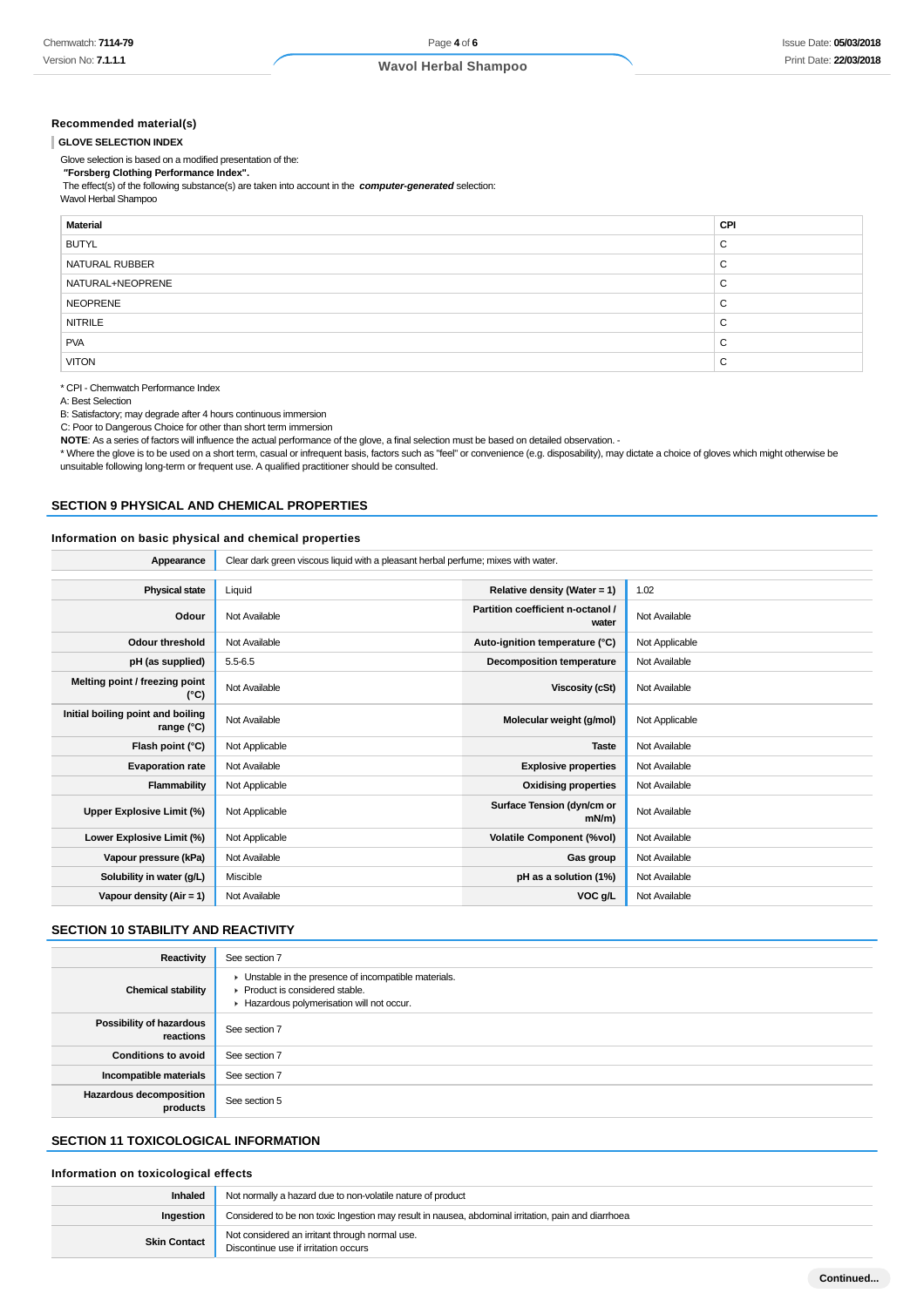#### **Recommended material(s)**

#### **GLOVE SELECTION INDEX**

Glove selection is based on a modified presentation of the:

 **"Forsberg Clothing Performance Index".** The effect(s) of the following substance(s) are taken into account in the **computer-generated** selection:

Wavol Herbal Shampoo

| <b>Material</b>  | CPI |
|------------------|-----|
| <b>BUTYL</b>     | C   |
| NATURAL RUBBER   | C   |
| NATURAL+NEOPRENE | C   |
| NEOPRENE         | C   |
| <b>NITRILE</b>   | C   |
| <b>PVA</b>       | C   |
| <b>VITON</b>     | C   |

\* CPI - Chemwatch Performance Index

A: Best Selection

B: Satisfactory; may degrade after 4 hours continuous immersion

C: Poor to Dangerous Choice for other than short term immersion

NOTE: As a series of factors will influence the actual performance of the glove, a final selection must be based on detailed observation. -

\* Where the glove is to be used on a short term, casual or infrequent basis, factors such as "feel" or convenience (e.g. disposability), may dictate a choice of gloves which might otherwise be unsuitable following long-term or frequent use. A qualified practitioner should be consulted.

### **SECTION 9 PHYSICAL AND CHEMICAL PROPERTIES**

#### **Information on basic physical and chemical properties**

**Appearance** Clear dark green viscous liquid with a pleasant herbal perfume; mixes with water.

| <b>Physical state</b>                                    | Liquid         | Relative density (Water = $1$ )            | 1.02           |
|----------------------------------------------------------|----------------|--------------------------------------------|----------------|
| Odour                                                    | Not Available  | Partition coefficient n-octanol /<br>water | Not Available  |
| Odour threshold                                          | Not Available  | Auto-ignition temperature (°C)             | Not Applicable |
| pH (as supplied)                                         | $5.5 - 6.5$    | <b>Decomposition temperature</b>           | Not Available  |
| Melting point / freezing point<br>(°C)                   | Not Available  | Viscosity (cSt)                            | Not Available  |
| Initial boiling point and boiling<br>range $(^{\circ}C)$ | Not Available  | Molecular weight (g/mol)                   | Not Applicable |
| Flash point (°C)                                         | Not Applicable | <b>Taste</b>                               | Not Available  |
| <b>Evaporation rate</b>                                  | Not Available  | <b>Explosive properties</b>                | Not Available  |
| Flammability                                             | Not Applicable | <b>Oxidising properties</b>                | Not Available  |
| Upper Explosive Limit (%)                                | Not Applicable | Surface Tension (dyn/cm or<br>$mN/m$ )     | Not Available  |
| Lower Explosive Limit (%)                                | Not Applicable | <b>Volatile Component (%vol)</b>           | Not Available  |
| Vapour pressure (kPa)                                    | Not Available  | Gas group                                  | Not Available  |
| Solubility in water (g/L)                                | Miscible       | pH as a solution (1%)                      | Not Available  |
| Vapour density (Air = 1)                                 | Not Available  | VOC g/L                                    | Not Available  |

#### **SECTION 10 STABILITY AND REACTIVITY**

| Reactivity                                 | See section 7                                                                                                                        |
|--------------------------------------------|--------------------------------------------------------------------------------------------------------------------------------------|
| <b>Chemical stability</b>                  | • Unstable in the presence of incompatible materials.<br>▶ Product is considered stable.<br>Hazardous polymerisation will not occur. |
| Possibility of hazardous<br>reactions      | See section 7                                                                                                                        |
| <b>Conditions to avoid</b>                 | See section 7                                                                                                                        |
| Incompatible materials                     | See section 7                                                                                                                        |
| <b>Hazardous decomposition</b><br>products | See section 5                                                                                                                        |

#### **SECTION 11 TOXICOLOGICAL INFORMATION**

#### **Information on toxicological effects**

| Inhaled             | Not normally a hazard due to non-volatile nature of product                                         |
|---------------------|-----------------------------------------------------------------------------------------------------|
| Ingestion           | Considered to be non toxic Ingestion may result in nausea, abdominal irritation, pain and diarrhoea |
| <b>Skin Contact</b> | Not considered an irritant through normal use.<br>Discontinue use if irritation occurs              |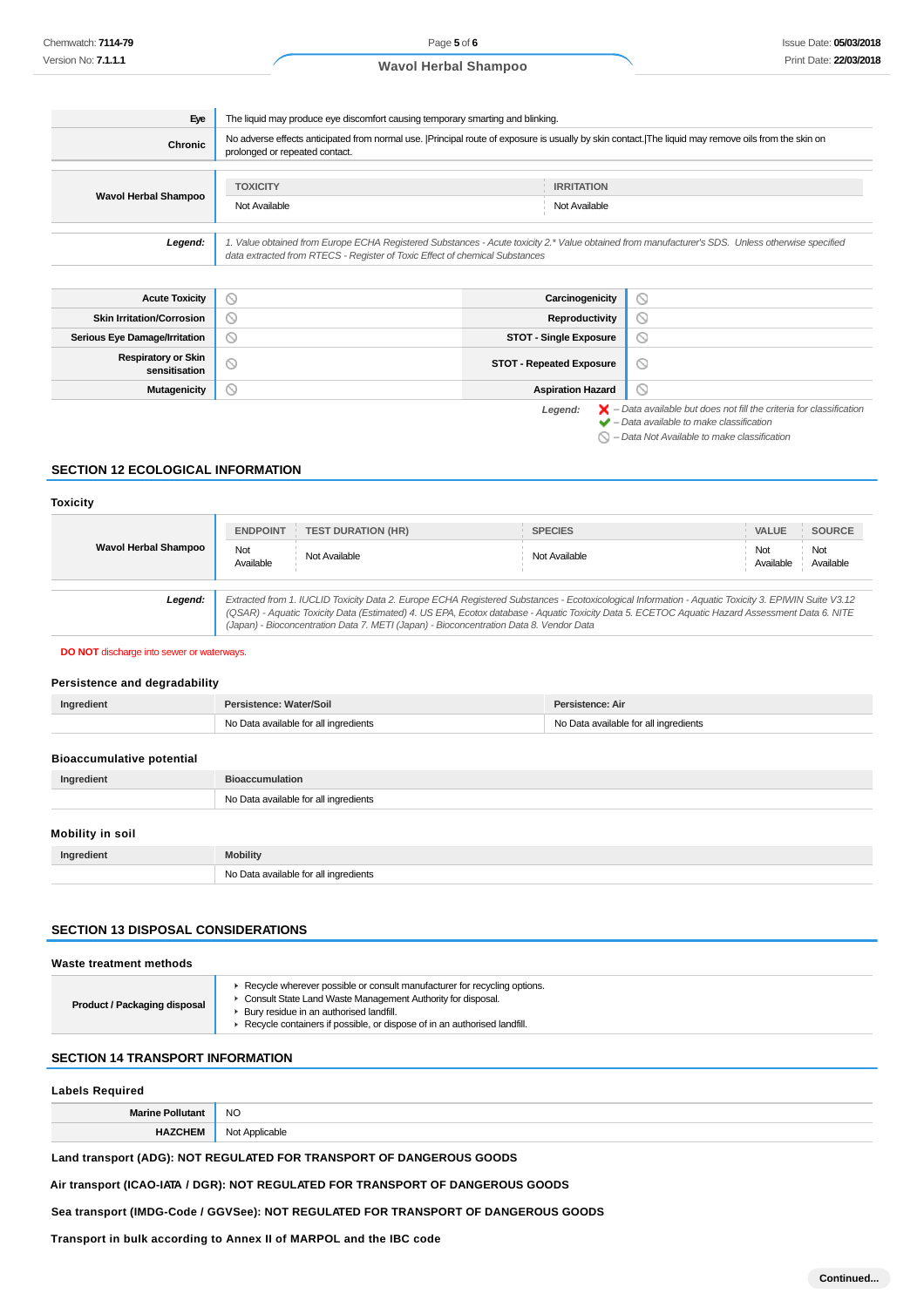| Eye                                         | The liquid may produce eye discomfort causing temporary smarting and blinking.                                                                                                                                                  |                |  |
|---------------------------------------------|---------------------------------------------------------------------------------------------------------------------------------------------------------------------------------------------------------------------------------|----------------|--|
| <b>Chronic</b>                              | No adverse effects anticipated from normal use.  Principal route of exposure is usually by skin contact. The liquid may remove oils from the skin on<br>prolonged or repeated contact.                                          |                |  |
|                                             | <b>TOXICITY</b><br><b>IRRITATION</b>                                                                                                                                                                                            |                |  |
| <b>Wavol Herbal Shampoo</b>                 | Not Available<br>Not Available                                                                                                                                                                                                  |                |  |
|                                             | 1. Value obtained from Europe ECHA Registered Substances - Acute toxicity 2.* Value obtained from manufacturer's SDS. Unless otherwise specified<br>data extracted from RTECS - Register of Toxic Effect of chemical Substances |                |  |
| Legend:                                     |                                                                                                                                                                                                                                 |                |  |
| <b>Acute Toxicity</b>                       | $\circ$<br>Carcinogenicity                                                                                                                                                                                                      | $\odot$        |  |
| <b>Skin Irritation/Corrosion</b>            | Reproductivity<br>∾                                                                                                                                                                                                             | $\odot$        |  |
| <b>Serious Eye Damage/Irritation</b>        | $\odot$<br><b>STOT - Single Exposure</b>                                                                                                                                                                                        | $\circledcirc$ |  |
| <b>Respiratory or Skin</b><br>sensitisation | $\circ$<br><b>STOT - Repeated Exposure</b>                                                                                                                                                                                      | ◎              |  |

# **SECTION 12 ECOLOGICAL INFORMATION**

#### **Toxicity**

|                                                                                                                                                                                                                                                                                                                                                                                                            | <b>ENDPOINT</b>  | <b>TEST DURATION (HR)</b> | <b>SPECIES</b> | <b>SOURCE</b><br><b>VALUE</b>        |
|------------------------------------------------------------------------------------------------------------------------------------------------------------------------------------------------------------------------------------------------------------------------------------------------------------------------------------------------------------------------------------------------------------|------------------|---------------------------|----------------|--------------------------------------|
| Wavol Herbal Shampoo                                                                                                                                                                                                                                                                                                                                                                                       | Not<br>Available | Not Available             | Not Available  | Not<br>Not<br>Available<br>Available |
| Extracted from 1. IUCLID Toxicity Data 2. Europe ECHA Registered Substances - Ecotoxicological Information - Aquatic Toxicity 3. EPIWIN Suite V3.12<br>Legend:<br>(QSAR) - Aquatic Toxicity Data (Estimated) 4. US EPA, Ecotox database - Aquatic Toxicity Data 5. ECETOC Aquatic Hazard Assessment Data 6. NITE<br>(Japan) - Bioconcentration Data 7. METI (Japan) - Bioconcentration Data 8. Vendor Data |                  |                           |                |                                      |
|                                                                                                                                                                                                                                                                                                                                                                                                            |                  |                           |                |                                      |

**DO NOT** discharge into sewer or waterways.

#### **Persistence and degradability**

| Ingredient | Persistence: Water/Soil               | Persistence: Air                      |
|------------|---------------------------------------|---------------------------------------|
|            | No Data available for all ingredients | No Data available for all ingredients |
|            |                                       |                                       |

# **Bioaccumulative potential**

| Ingredient | <b>Bioaccumulation</b>                |
|------------|---------------------------------------|
|            | No Data available for all ingredients |
|            |                                       |

# **Mobility in soil**

| Ingredient | <b>Mobility</b>                       |
|------------|---------------------------------------|
|            | No Data available for all ingredients |

# **SECTION 13 DISPOSAL CONSIDERATIONS**

| Waste treatment methods             |                                                                                                                                                                                                                                                                    |
|-------------------------------------|--------------------------------------------------------------------------------------------------------------------------------------------------------------------------------------------------------------------------------------------------------------------|
| <b>Product / Packaging disposal</b> | ► Recycle wherever possible or consult manufacturer for recycling options.<br>• Consult State Land Waste Management Authority for disposal.<br>Bury residue in an authorised landfill.<br>Recycle containers if possible, or dispose of in an authorised landfill. |
|                                     |                                                                                                                                                                                                                                                                    |

#### **SECTION 14 TRANSPORT INFORMATION**

# **Labels Required Marine Pollutant** NO **HAZCHEM** Not Applicable

**Land transport (ADG): NOT REGULATED FOR TRANSPORT OF DANGEROUS GOODS**

**Air transport (ICAO-IATA / DGR): NOT REGULATED FOR TRANSPORT OF DANGEROUS GOODS**

**Sea transport (IMDG-Code / GGVSee): NOT REGULATED FOR TRANSPORT OF DANGEROUS GOODS**

**Transport in bulk according to Annex II of MARPOL and the IBC code**